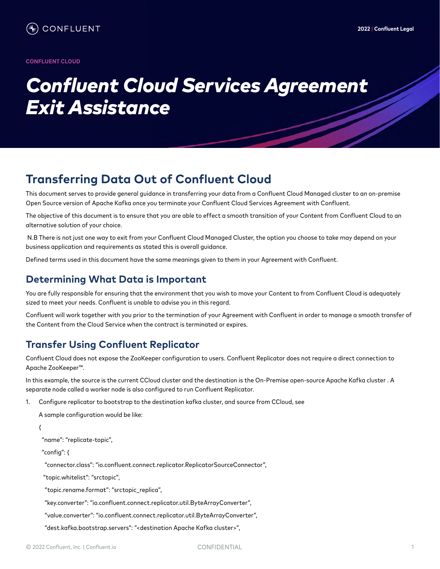# *Confluent Cloud Services Agreement Exit Assistance*

# **Transferring Data Out of Confluent Cloud**

This document serves to provide general guidance in transferring your data from a Confluent Cloud Managed cluster to an on-premise Open Source version of Apache Kafka once you terminate your Confluent Cloud Services Agreement with Confluent.

The objective of this document is to ensure that you are able to effect a smooth transition of your Content from Confluent Cloud to an alternative solution of your choice.

 N.B There is not just one way to exit from your Confluent Cloud Managed Cluster, the option you choose to take may depend on your business application and requirements as stated this is overall guidance.

Defined terms used in this document have the same meanings given to them in your Agreement with Confluent.

#### **Determining What Data is Important**

You are fully responsible for ensuring that the environment that you wish to move your Content to from Confluent Cloud is adequately sized to meet your needs. Confluent is unable to advise you in this regard.

Confluent will work together with you prior to the termination of your Agreement with Confluent in order to manage a smooth transfer of the Content from the Cloud Service when the contract is terminated or expires.

### **Transfer Using Confluent Replicator**

Confluent Cloud does not expose the ZooKeeper configuration to users. Confluent Replicator does not require a direct connection to Apache ZooKeeper™.

In this example, the source is the current CCloud cluster and the destination is the On-Premise open-source Apache Kafka cluster . A separate node called a worker node is also configured to run Confluent Replicator.

1. Configure replicator to bootstrap to the destination kafka cluster, and source from CCloud, see

A sample configuration would be like:

{

"name": "replicate-topic",

"config": {

"connector.class": "io.confluent.connect.replicator.ReplicatorSourceConnector",

"topic.whitelist": "srctopic",

"topic.rename.format": "srctopic\_replica",

"key.converter": "io.confluent.connect.replicator.util.ByteArrayConverter",

"value.converter": "io.confluent.connect.replicator.util.ByteArrayConverter",

"dest.kafka.bootstrap.servers": "<destination Apache Kafka cluster>",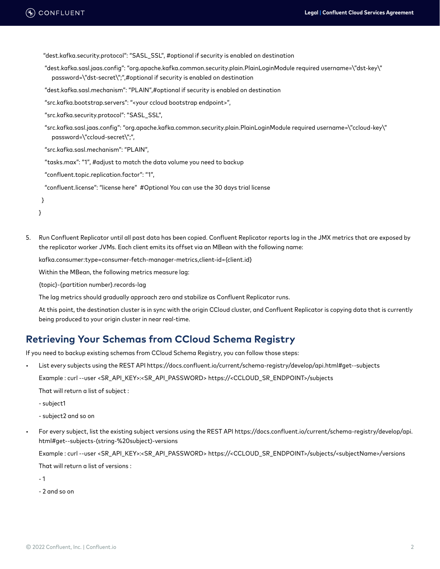"dest.kafka.security.protocol": "SASL\_SSL", #optional if security is enabled on destination

- "dest.kafka.sasl.jaas.config": "org.apache.kafka.common.security.plain.PlainLoginModule required username=\"dst-key\" password=\"dst-secret\";",#optional if security is enabled on destination
- "dest.kafka.sasl.mechanism": "PLAIN",#optional if security is enabled on destination
- "src.kafka.bootstrap.servers": "<your ccloud bootstrap endpoint>",

```
 "src.kafka.security.protocol": "SASL_SSL",
```
- "src.kafka.sasl.jaas.config": "org.apache.kafka.common.security.plain.PlainLoginModule required username=\"ccloud-key\" password=\"ccloud-secret\";",
- "src.kafka.sasl.mechanism": "PLAIN",
- "tasks.max": "1", #adjust to match the data volume you need to backup
- "confluent.topic.replication.factor": "1",
- "confluent.license": "license here" #Optional You can use the 30 days trial license

}

```
}
```
5. Run Confluent Replicator until all past data has been copied. Confluent Replicator reports lag in the JMX metrics that are exposed by the replicator worker JVMs. Each client emits its offset via an MBean with the following name:

kafka.consumer:type=consumer-fetch-manager-metrics,client-id={client.id}

Within the MBean, the following metrics measure lag:

{topic}-{partition number}.records-lag

The lag metrics should gradually approach zero and stabilize as Confluent Replicator runs.

At this point, the destination cluster is in sync with the origin CCloud cluster, and Confluent Replicator is copying data that is currently being produced to your origin cluster in near real-time.

#### **Retrieving Your Schemas from CCloud Schema Registry**

If you need to backup existing schemas from CCloud Schema Registry, you can follow those steps:

- List every subjects using the REST API https://docs.confluent.io/current/schema-registry/develop/api.html#get--subjects Example : curl --user <SR\_API\_KEY>:<SR\_API\_PASSWORD> https://<CCLOUD\_SR\_ENDPOINT>/subjects That will return a list of subject :
	- subject1
	- subject2 and so on
- For every subject, list the existing subject versions using the REST API https://docs.confluent.io/current/schema-registry/develop/api. html#get--subjects-(string-%20subject)-versions

Example : curl --user <SR\_API\_KEY>:<SR\_API\_PASSWORD> https://<CCLOUD\_SR\_ENDPOINT>/subjects/<subjectName>/versions That will return a list of versions :

 $-1$ 

- 2 and so on